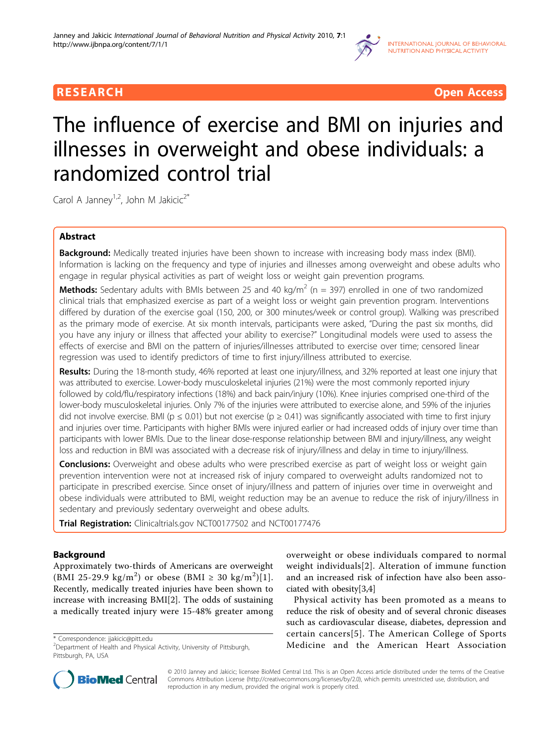

**RESEARCH Open Access** 

# The influence of exercise and BMI on injuries and illnesses in overweight and obese individuals: a randomized control trial

Carol A Janney<sup>1,2</sup>, John M Jakicic<sup>2\*</sup>

# Abstract

Background: Medically treated injuries have been shown to increase with increasing body mass index (BMI). Information is lacking on the frequency and type of injuries and illnesses among overweight and obese adults who engage in regular physical activities as part of weight loss or weight gain prevention programs.

**Methods:** Sedentary adults with BMIs between 25 and 40 kg/m<sup>2</sup> (n = 397) enrolled in one of two randomized clinical trials that emphasized exercise as part of a weight loss or weight gain prevention program. Interventions differed by duration of the exercise goal (150, 200, or 300 minutes/week or control group). Walking was prescribed as the primary mode of exercise. At six month intervals, participants were asked, "During the past six months, did you have any injury or illness that affected your ability to exercise?" Longitudinal models were used to assess the effects of exercise and BMI on the pattern of injuries/illnesses attributed to exercise over time; censored linear regression was used to identify predictors of time to first injury/illness attributed to exercise.

Results: During the 18-month study, 46% reported at least one injury/illness, and 32% reported at least one injury that was attributed to exercise. Lower-body musculoskeletal injuries (21%) were the most commonly reported injury followed by cold/flu/respiratory infections (18%) and back pain/injury (10%). Knee injuries comprised one-third of the lower-body musculoskeletal injuries. Only 7% of the injuries were attributed to exercise alone, and 59% of the injuries did not involve exercise. BMI ( $p \le 0.01$ ) but not exercise ( $p \ge 0.41$ ) was significantly associated with time to first injury and injuries over time. Participants with higher BMIs were injured earlier or had increased odds of injury over time than participants with lower BMIs. Due to the linear dose-response relationship between BMI and injury/illness, any weight loss and reduction in BMI was associated with a decrease risk of injury/illness and delay in time to injury/illness.

Conclusions: Overweight and obese adults who were prescribed exercise as part of weight loss or weight gain prevention intervention were not at increased risk of injury compared to overweight adults randomized not to participate in prescribed exercise. Since onset of injury/illness and pattern of injuries over time in overweight and obese individuals were attributed to BMI, weight reduction may be an avenue to reduce the risk of injury/illness in sedentary and previously sedentary overweight and obese adults.

Trial Registration: Clinicaltrials.gov NCT00177502 and NCT00177476

# Background

Approximately two-thirds of Americans are overweight (BMI 25-29.9 kg/m<sup>2</sup>) or obese (BMI  $\geq 30$  kg/m<sup>2</sup>)[[1\]](#page-10-0). Recently, medically treated injuries have been shown to increase with increasing BMI[\[2](#page-10-0)]. The odds of sustaining a medically treated injury were 15-48% greater among

overweight or obese individuals compared to normal weight individuals[[2](#page-10-0)]. Alteration of immune function and an increased risk of infection have also been associated with obesity[[3](#page-10-0),[4](#page-10-0)]

Physical activity has been promoted as a means to reduce the risk of obesity and of several chronic diseases such as cardiovascular disease, diabetes, depression and certain cancers[[5](#page-10-0)]. The American College of Sports \* Correspondence: jjakicic@pitt.edu<br>
<sup>2</sup>Department of Health and Physical Activity. University of Pittsburgh. **Medicine and the American Heart Association** 



© 2010 Janney and Jakicic; licensee BioMed Central Ltd. This is an Open Access article distributed under the terms of the Creative Commons Attribution License (http://creativecommons.org/licenses/by/2.0), which permits unrestricted use, distribution, and reproduction in any medium, provided the original work is properly cited.

<sup>2</sup> Department of Health and Physical Activity, University of Pittsburgh, Pittsburgh, PA, USA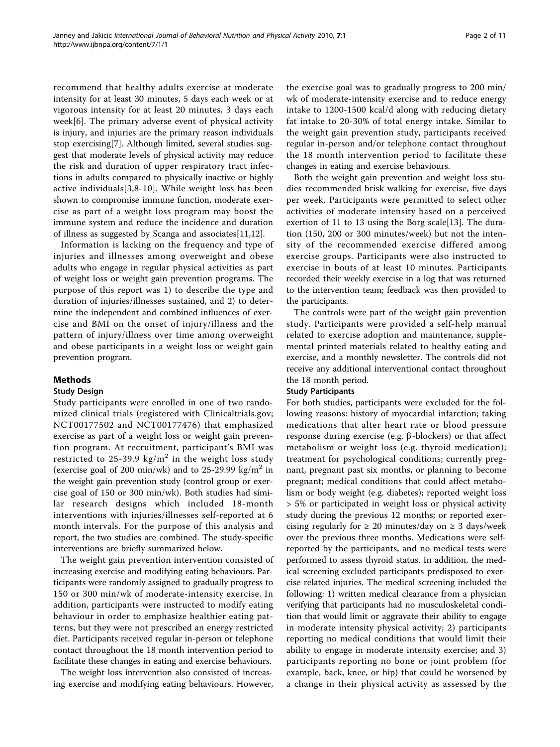recommend that healthy adults exercise at moderate intensity for at least 30 minutes, 5 days each week or at vigorous intensity for at least 20 minutes, 3 days each week[[6](#page-10-0)]. The primary adverse event of physical activity is injury, and injuries are the primary reason individuals stop exercising[\[7](#page-10-0)]. Although limited, several studies suggest that moderate levels of physical activity may reduce the risk and duration of upper respiratory tract infections in adults compared to physically inactive or highly active individuals[\[3](#page-10-0),[8](#page-10-0)-[10](#page-10-0)]. While weight loss has been shown to compromise immune function, moderate exercise as part of a weight loss program may boost the immune system and reduce the incidence and duration of illness as suggested by Scanga and associates[[11,12\]](#page-10-0).

Information is lacking on the frequency and type of injuries and illnesses among overweight and obese adults who engage in regular physical activities as part of weight loss or weight gain prevention programs. The purpose of this report was 1) to describe the type and duration of injuries/illnesses sustained, and 2) to determine the independent and combined influences of exercise and BMI on the onset of injury/illness and the pattern of injury/illness over time among overweight and obese participants in a weight loss or weight gain prevention program.

# Methods

#### Study Design

Study participants were enrolled in one of two randomized clinical trials (registered with Clinicaltrials.gov; NCT00177502 and NCT00177476) that emphasized exercise as part of a weight loss or weight gain prevention program. At recruitment, participant's BMI was restricted to 25-39.9 kg/m<sup>2</sup> in the weight loss study (exercise goal of 200 min/wk) and to  $25-29.99$  kg/m<sup>2</sup> in the weight gain prevention study (control group or exercise goal of 150 or 300 min/wk). Both studies had similar research designs which included 18-month interventions with injuries/illnesses self-reported at 6 month intervals. For the purpose of this analysis and report, the two studies are combined. The study-specific interventions are briefly summarized below.

The weight gain prevention intervention consisted of increasing exercise and modifying eating behaviours. Participants were randomly assigned to gradually progress to 150 or 300 min/wk of moderate-intensity exercise. In addition, participants were instructed to modify eating behaviour in order to emphasize healthier eating patterns, but they were not prescribed an energy restricted diet. Participants received regular in-person or telephone contact throughout the 18 month intervention period to facilitate these changes in eating and exercise behaviours.

The weight loss intervention also consisted of increasing exercise and modifying eating behaviours. However,

the exercise goal was to gradually progress to 200 min/ wk of moderate-intensity exercise and to reduce energy intake to 1200-1500 kcal/d along with reducing dietary fat intake to 20-30% of total energy intake. Similar to the weight gain prevention study, participants received regular in-person and/or telephone contact throughout the 18 month intervention period to facilitate these changes in eating and exercise behaviours.

Both the weight gain prevention and weight loss studies recommended brisk walking for exercise, five days per week. Participants were permitted to select other activities of moderate intensity based on a perceived exertion of 11 to 13 using the Borg scale[\[13](#page-10-0)]. The duration (150, 200 or 300 minutes/week) but not the intensity of the recommended exercise differed among exercise groups. Participants were also instructed to exercise in bouts of at least 10 minutes. Participants recorded their weekly exercise in a log that was returned to the intervention team; feedback was then provided to the participants.

The controls were part of the weight gain prevention study. Participants were provided a self-help manual related to exercise adoption and maintenance, supplemental printed materials related to healthy eating and exercise, and a monthly newsletter. The controls did not receive any additional interventional contact throughout the 18 month period.

#### Study Participants

For both studies, participants were excluded for the following reasons: history of myocardial infarction; taking medications that alter heart rate or blood pressure response during exercise (e.g.  $\beta$ -blockers) or that affect metabolism or weight loss (e.g. thyroid medication); treatment for psychological conditions; currently pregnant, pregnant past six months, or planning to become pregnant; medical conditions that could affect metabolism or body weight (e.g. diabetes); reported weight loss > 5% or participated in weight loss or physical activity study during the previous 12 months; or reported exercising regularly for  $\geq 20$  minutes/day on  $\geq 3$  days/week over the previous three months. Medications were selfreported by the participants, and no medical tests were performed to assess thyroid status. In addition, the medical screening excluded participants predisposed to exercise related injuries. The medical screening included the following: 1) written medical clearance from a physician verifying that participants had no musculoskeletal condition that would limit or aggravate their ability to engage in moderate intensity physical activity; 2) participants reporting no medical conditions that would limit their ability to engage in moderate intensity exercise; and 3) participants reporting no bone or joint problem (for example, back, knee, or hip) that could be worsened by a change in their physical activity as assessed by the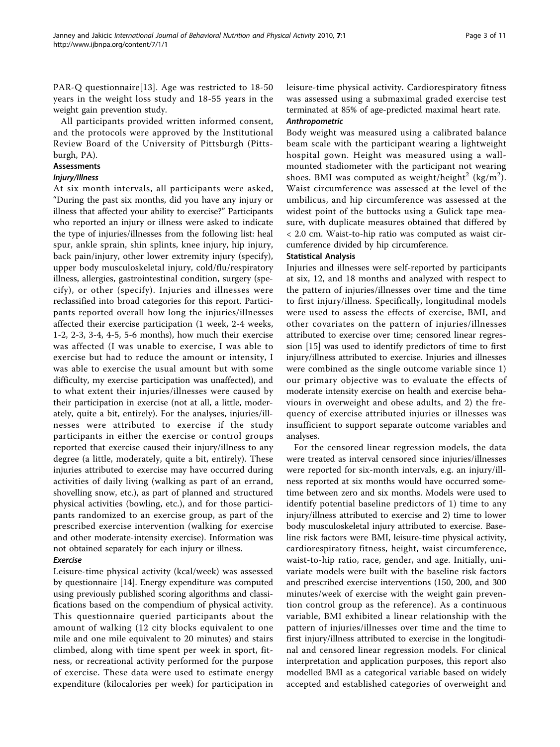PAR-Q questionnaire[[13](#page-10-0)]. Age was restricted to 18-50 years in the weight loss study and 18-55 years in the weight gain prevention study.

All participants provided written informed consent, and the protocols were approved by the Institutional Review Board of the University of Pittsburgh (Pittsburgh, PA).

#### Assessments

# Injury/Illness

At six month intervals, all participants were asked, "During the past six months, did you have any injury or illness that affected your ability to exercise?" Participants who reported an injury or illness were asked to indicate the type of injuries/illnesses from the following list: heal spur, ankle sprain, shin splints, knee injury, hip injury, back pain/injury, other lower extremity injury (specify), upper body musculoskeletal injury, cold/flu/respiratory illness, allergies, gastrointestinal condition, surgery (specify), or other (specify). Injuries and illnesses were reclassified into broad categories for this report. Participants reported overall how long the injuries/illnesses affected their exercise participation (1 week, 2-4 weeks, 1-2, 2-3, 3-4, 4-5, 5-6 months), how much their exercise was affected (I was unable to exercise, I was able to exercise but had to reduce the amount or intensity, I was able to exercise the usual amount but with some difficulty, my exercise participation was unaffected), and to what extent their injuries/illnesses were caused by their participation in exercise (not at all, a little, moderately, quite a bit, entirely). For the analyses, injuries/illnesses were attributed to exercise if the study participants in either the exercise or control groups reported that exercise caused their injury/illness to any degree (a little, moderately, quite a bit, entirely). These injuries attributed to exercise may have occurred during activities of daily living (walking as part of an errand, shovelling snow, etc.), as part of planned and structured physical activities (bowling, etc.), and for those participants randomized to an exercise group, as part of the prescribed exercise intervention (walking for exercise and other moderate-intensity exercise). Information was not obtained separately for each injury or illness.

# Exercise

Leisure-time physical activity (kcal/week) was assessed by questionnaire [[14\]](#page-10-0). Energy expenditure was computed using previously published scoring algorithms and classifications based on the compendium of physical activity. This questionnaire queried participants about the amount of walking (12 city blocks equivalent to one mile and one mile equivalent to 20 minutes) and stairs climbed, along with time spent per week in sport, fitness, or recreational activity performed for the purpose of exercise. These data were used to estimate energy expenditure (kilocalories per week) for participation in leisure-time physical activity. Cardiorespiratory fitness was assessed using a submaximal graded exercise test terminated at 85% of age-predicted maximal heart rate.

# Anthropometric

Body weight was measured using a calibrated balance beam scale with the participant wearing a lightweight hospital gown. Height was measured using a wallmounted stadiometer with the participant not wearing shoes. BMI was computed as weight/height<sup>2</sup> (kg/m<sup>2</sup>). Waist circumference was assessed at the level of the umbilicus, and hip circumference was assessed at the widest point of the buttocks using a Gulick tape measure, with duplicate measures obtained that differed by < 2.0 cm. Waist-to-hip ratio was computed as waist circumference divided by hip circumference.

#### Statistical Analysis

Injuries and illnesses were self-reported by participants at six, 12, and 18 months and analyzed with respect to the pattern of injuries/illnesses over time and the time to first injury/illness. Specifically, longitudinal models were used to assess the effects of exercise, BMI, and other covariates on the pattern of injuries/illnesses attributed to exercise over time; censored linear regression [\[15](#page-10-0)] was used to identify predictors of time to first injury/illness attributed to exercise. Injuries and illnesses were combined as the single outcome variable since 1) our primary objective was to evaluate the effects of moderate intensity exercise on health and exercise behaviours in overweight and obese adults, and 2) the frequency of exercise attributed injuries or illnesses was insufficient to support separate outcome variables and analyses.

For the censored linear regression models, the data were treated as interval censored since injuries/illnesses were reported for six-month intervals, e.g. an injury/illness reported at six months would have occurred sometime between zero and six months. Models were used to identify potential baseline predictors of 1) time to any injury/illness attributed to exercise and 2) time to lower body musculoskeletal injury attributed to exercise. Baseline risk factors were BMI, leisure-time physical activity, cardiorespiratory fitness, height, waist circumference, waist-to-hip ratio, race, gender, and age. Initially, univariate models were built with the baseline risk factors and prescribed exercise interventions (150, 200, and 300 minutes/week of exercise with the weight gain prevention control group as the reference). As a continuous variable, BMI exhibited a linear relationship with the pattern of injuries/illnesses over time and the time to first injury/illness attributed to exercise in the longitudinal and censored linear regression models. For clinical interpretation and application purposes, this report also modelled BMI as a categorical variable based on widely accepted and established categories of overweight and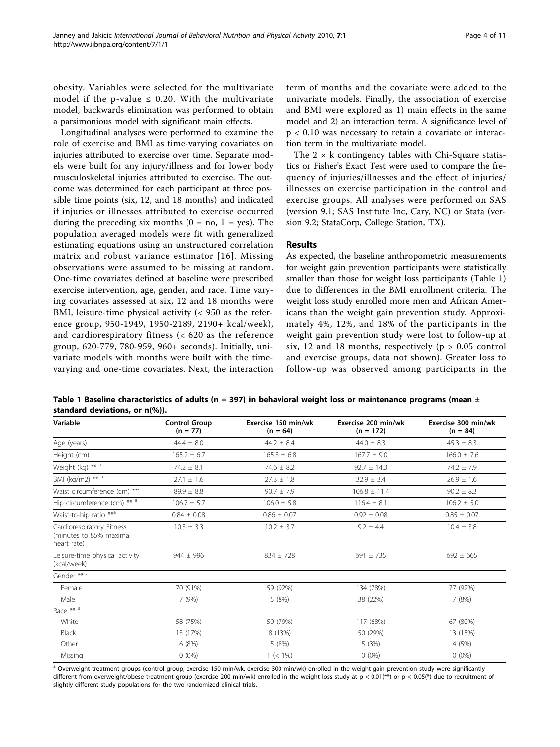obesity. Variables were selected for the multivariate model if the p-value  $\leq$  0.20. With the multivariate model, backwards elimination was performed to obtain a parsimonious model with significant main effects.

Longitudinal analyses were performed to examine the role of exercise and BMI as time-varying covariates on injuries attributed to exercise over time. Separate models were built for any injury/illness and for lower body musculoskeletal injuries attributed to exercise. The outcome was determined for each participant at three possible time points (six, 12, and 18 months) and indicated if injuries or illnesses attributed to exercise occurred during the preceding six months ( $0 = no$ ,  $1 = yes$ ). The population averaged models were fit with generalized estimating equations using an unstructured correlation matrix and robust variance estimator [[16\]](#page-10-0). Missing observations were assumed to be missing at random. One-time covariates defined at baseline were prescribed exercise intervention, age, gender, and race. Time varying covariates assessed at six, 12 and 18 months were BMI, leisure-time physical activity (< 950 as the reference group, 950-1949, 1950-2189, 2190+ kcal/week), and cardiorespiratory fitness (< 620 as the reference group, 620-779, 780-959, 960+ seconds). Initially, univariate models with months were built with the timevarying and one-time covariates. Next, the interaction

term of months and the covariate were added to the univariate models. Finally, the association of exercise and BMI were explored as 1) main effects in the same model and 2) an interaction term. A significance level of p < 0.10 was necessary to retain a covariate or interaction term in the multivariate model.

The  $2 \times k$  contingency tables with Chi-Square statistics or Fisher's Exact Test were used to compare the frequency of injuries/illnesses and the effect of injuries/ illnesses on exercise participation in the control and exercise groups. All analyses were performed on SAS (version 9.1; SAS Institute Inc, Cary, NC) or Stata (version 9.2; StataCorp, College Station, TX).

## Results

As expected, the baseline anthropometric measurements for weight gain prevention participants were statistically smaller than those for weight loss participants (Table 1) due to differences in the BMI enrollment criteria. The weight loss study enrolled more men and African Americans than the weight gain prevention study. Approximately 4%, 12%, and 18% of the participants in the weight gain prevention study were lost to follow-up at six, 12 and 18 months, respectively ( $p > 0.05$  control and exercise groups, data not shown). Greater loss to follow-up was observed among participants in the

Table 1 Baseline characteristics of adults (n = 397) in behavioral weight loss or maintenance programs (mean  $\pm$ standard deviations, or n(%)).

| Variable                                                            | <b>Control Group</b><br>$(n = 77)$ | Exercise 150 min/wk<br>$(n = 64)$ | Exercise 200 min/wk<br>$(n = 172)$ | Exercise 300 min/wk<br>$(n = 84)$ |
|---------------------------------------------------------------------|------------------------------------|-----------------------------------|------------------------------------|-----------------------------------|
| Age (years)                                                         | $44.4 \pm 8.0$                     | $44.2 \pm 8.4$                    | $44.0 \pm 8.3$                     | $45.3 \pm 8.3$                    |
| Height (cm)                                                         | $165.2 \pm 6.7$                    | $165.3 \pm 6.8$                   | $167.7 \pm 9.0$                    | $166.0 \pm 7.6$                   |
| Weight (kg) ** <sup>a</sup>                                         | $74.2 \pm 8.1$                     | $74.6 \pm 8.2$                    | $92.7 \pm 14.3$                    | $74.2 \pm 7.9$                    |
| BMI (kg/m2) ** <sup>a</sup>                                         | $27.1 \pm 1.6$                     | $27.3 \pm 1.8$                    | $32.9 \pm 3.4$                     | $26.9 \pm 1.6$                    |
| Waist circumference (cm) ** <sup>a</sup>                            | $89.9 \pm 8.8$                     | $90.7 \pm 7.9$                    | $106.8 \pm 11.4$                   | $90.2 \pm 8.3$                    |
| Hip circumference (cm) ** a                                         | $106.7 \pm 5.7$                    | $106.0 \pm 5.8$                   | $116.4 \pm 8.1$                    | $106.2 \pm 5.0$                   |
| Waist-to-hip ratio ***                                              | $0.84 \pm 0.08$                    | $0.86 \pm 0.07$                   | $0.92 \pm 0.08$                    | $0.85 \pm 0.07$                   |
| Cardiorespiratory Fitness<br>(minutes to 85% maximal<br>heart rate) | $10.3 \pm 3.3$                     | $10.2 \pm 3.7$                    | $9.2 \pm 4.4$                      | $10.4 \pm 3.8$                    |
| Leisure-time physical activity<br>(kcal/week)                       | $944 \pm 996$                      | $834 \pm 728$                     | $691 \pm 735$                      | $692 \pm 665$                     |
| Gender ** <sup>a</sup>                                              |                                    |                                   |                                    |                                   |
| Female                                                              | 70 (91%)                           | 59 (92%)                          | 134 (78%)                          | 77 (92%)                          |
| Male                                                                | 7 (9%)                             | 5(8%)                             | 38 (22%)                           | 7(8%)                             |
| Race ** a                                                           |                                    |                                   |                                    |                                   |
| White                                                               | 58 (75%)                           | 50 (79%)                          | 117 (68%)                          | 67 (80%)                          |
| <b>Black</b>                                                        | 13 (17%)                           | 8 (13%)                           | 50 (29%)                           | 13 (15%)                          |
| Other                                                               | 6(8%)                              | 5(8%)                             | 5(3%)                              | 4 (5%)                            |
| Missing                                                             | $0(0\%)$                           | $1 (< 1\%)$                       | $0(0\%)$                           | $0(0\%)$                          |

a Overweight treatment groups (control group, exercise 150 min/wk, exercise 300 min/wk) enrolled in the weight gain prevention study were significantly different from overweight/obese treatment group (exercise 200 min/wk) enrolled in the weight loss study at p < 0.01(\*\*) or p < 0.05(\*) due to recruitment of slightly different study populations for the two randomized clinical trials.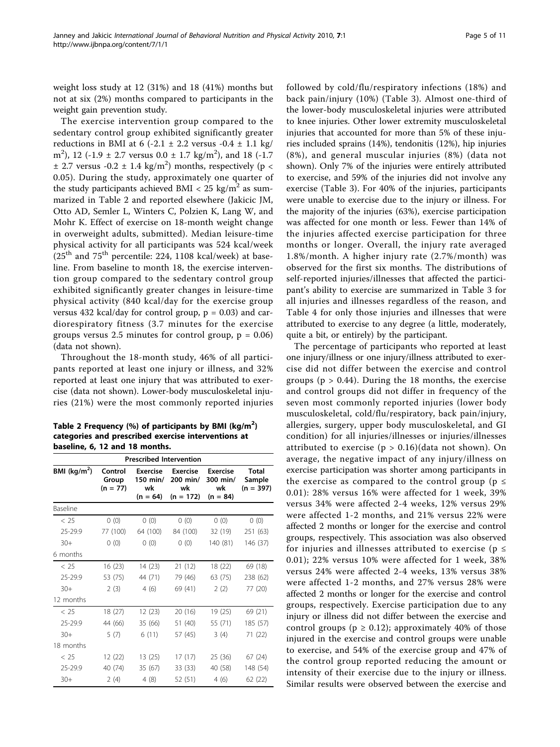weight loss study at 12 (31%) and 18 (41%) months but not at six (2%) months compared to participants in the weight gain prevention study.

The exercise intervention group compared to the sedentary control group exhibited significantly greater reductions in BMI at 6 (-2.1  $\pm$  2.2 versus -0.4  $\pm$  1.1 kg/ m<sup>2</sup>), 12 (-1.9  $\pm$  2.7 versus 0.0  $\pm$  1.7 kg/m<sup>2</sup>), and 18 (-1.7  $\pm$  2.7 versus -0.2  $\pm$  1.4 kg/m<sup>2</sup>) months, respectively (p < 0.05). During the study, approximately one quarter of the study participants achieved BMI  $<$  25 kg/m<sup>2</sup> as summarized in Table 2 and reported elsewhere (Jakicic JM, Otto AD, Semler L, Winters C, Polzien K, Lang W, and Mohr K. Effect of exercise on 18-month weight change in overweight adults, submitted). Median leisure-time physical activity for all participants was 524 kcal/week  $(25<sup>th</sup>$  and  $75<sup>th</sup>$  percentile: 224, 1108 kcal/week) at baseline. From baseline to month 18, the exercise intervention group compared to the sedentary control group exhibited significantly greater changes in leisure-time physical activity (840 kcal/day for the exercise group versus 432 kcal/day for control group,  $p = 0.03$ ) and cardiorespiratory fitness (3.7 minutes for the exercise groups versus 2.5 minutes for control group,  $p = 0.06$ ) (data not shown).

Throughout the 18-month study, 46% of all participants reported at least one injury or illness, and 32% reported at least one injury that was attributed to exercise (data not shown). Lower-body musculoskeletal injuries (21%) were the most commonly reported injuries

Table 2 Frequency (%) of participants by BMI (kg/m<sup>2</sup>) categories and prescribed exercise interventions at baseline, 6, 12 and 18 months.

|                 |                                | <b>Prescribed Intervention</b>                  |                                                  |                                                 |                                       |
|-----------------|--------------------------------|-------------------------------------------------|--------------------------------------------------|-------------------------------------------------|---------------------------------------|
| BMI ( $kg/m2$ ) | Control<br>Group<br>$(n = 77)$ | <b>Exercise</b><br>150 min/<br>wk<br>$(n = 64)$ | <b>Exercise</b><br>200 min/<br>wk<br>$(n = 172)$ | <b>Exercise</b><br>300 min/<br>wk<br>$(n = 84)$ | <b>Total</b><br>Sample<br>$(n = 397)$ |
| Baseline        |                                |                                                 |                                                  |                                                 |                                       |
| < 25            | 0(0)                           | 0(0)                                            | 0(0)                                             | 0(0)                                            | 0(0)                                  |
| 25-29.9         | 77 (100)                       | 64 (100)                                        | 84 (100)                                         | 32 (19)                                         | 251 (63)                              |
| $30+$           | 0(0)                           | 0(0)                                            | 0(0)                                             | 140 (81)                                        | 146 (37)                              |
| 6 months        |                                |                                                 |                                                  |                                                 |                                       |
| < 25            | 16(23)                         | 14(23)                                          | 21(12)                                           | 18 (22)                                         | 69 (18)                               |
| 25-29.9         | 53 (75)                        | 44 (71)                                         | 79 (46)                                          | 63 (75)                                         | 238 (62)                              |
| $30+$           | 2(3)                           | 4(6)                                            | 69 (41)                                          | 2(2)                                            | 77 (20)                               |
| 12 months       |                                |                                                 |                                                  |                                                 |                                       |
| < 25            | 18 (27)                        | 12(23)                                          | 20(16)                                           | 19 (25)                                         | 69 (21)                               |
| 25-29.9         | 44 (66)                        | 35 (66)                                         | 51 (40)                                          | 55 (71)                                         | 185 (57)                              |
| $30+$           | 5(7)                           | 6(11)                                           | 57 (45)                                          | 3(4)                                            | 71 (22)                               |
| 18 months       |                                |                                                 |                                                  |                                                 |                                       |
| < 25            | 12 (22)                        | 13(25)                                          | 17 (17)                                          | 25 (36)                                         | 67 (24)                               |
| 25-29.9         | 40 (74)                        | 35 (67)                                         | 33 (33)                                          | 40 (58)                                         | 148 (54)                              |
| $30+$           | 2(4)                           | 4(8)                                            | 52 (51)                                          | 4(6)                                            | 62 (22)                               |

followed by cold/flu/respiratory infections (18%) and back pain/injury (10%) (Table [3\)](#page-5-0). Almost one-third of the lower-body musculoskeletal injuries were attributed to knee injuries. Other lower extremity musculoskeletal injuries that accounted for more than 5% of these injuries included sprains (14%), tendonitis (12%), hip injuries (8%), and general muscular injuries (8%) (data not shown). Only 7% of the injuries were entirely attributed to exercise, and 59% of the injuries did not involve any exercise (Table [3\)](#page-5-0). For 40% of the injuries, participants were unable to exercise due to the injury or illness. For the majority of the injuries (63%), exercise participation was affected for one month or less. Fewer than 14% of the injuries affected exercise participation for three months or longer. Overall, the injury rate averaged 1.8%/month. A higher injury rate (2.7%/month) was observed for the first six months. The distributions of self-reported injuries/illnesses that affected the participant's ability to exercise are summarized in Table [3](#page-5-0) for all injuries and illnesses regardless of the reason, and Table [4](#page-6-0) for only those injuries and illnesses that were attributed to exercise to any degree (a little, moderately, quite a bit, or entirely) by the participant.

The percentage of participants who reported at least one injury/illness or one injury/illness attributed to exercise did not differ between the exercise and control groups ( $p > 0.44$ ). During the 18 months, the exercise and control groups did not differ in frequency of the seven most commonly reported injuries (lower body musculoskeletal, cold/flu/respiratory, back pain/injury, allergies, surgery, upper body musculoskeletal, and GI condition) for all injuries/illnesses or injuries/illnesses attributed to exercise ( $p > 0.16$ )(data not shown). On average, the negative impact of any injury/illness on exercise participation was shorter among participants in the exercise as compared to the control group ( $p \leq$ 0.01): 28% versus 16% were affected for 1 week, 39% versus 34% were affected 2-4 weeks, 12% versus 29% were affected 1-2 months, and 21% versus 22% were affected 2 months or longer for the exercise and control groups, respectively. This association was also observed for injuries and illnesses attributed to exercise ( $p \leq$ 0.01); 22% versus 10% were affected for 1 week, 38% versus 24% were affected 2-4 weeks, 13% versus 38% were affected 1-2 months, and 27% versus 28% were affected 2 months or longer for the exercise and control groups, respectively. Exercise participation due to any injury or illness did not differ between the exercise and control groups ( $p \ge 0.12$ ); approximately 40% of those injured in the exercise and control groups were unable to exercise, and 54% of the exercise group and 47% of the control group reported reducing the amount or intensity of their exercise due to the injury or illness. Similar results were observed between the exercise and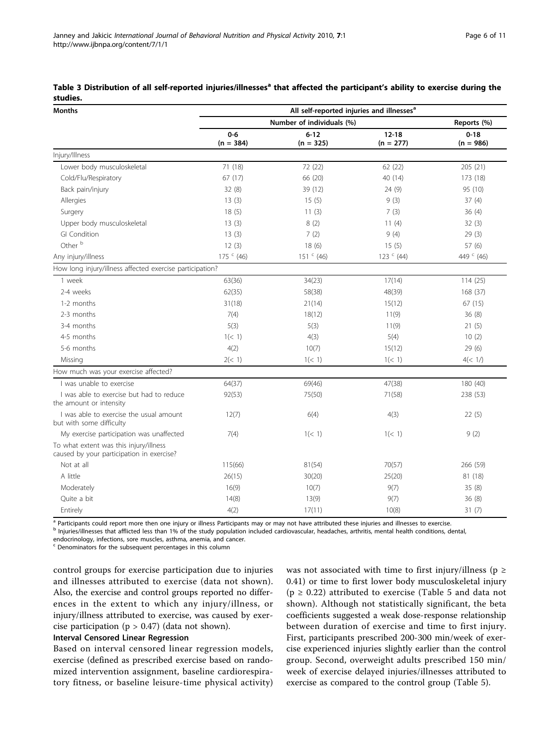<span id="page-5-0"></span>

| Table 3 Distribution of all self-reported injuries/illnesses <sup>a</sup> that affected the participant's ability to exercise during the |  |
|------------------------------------------------------------------------------------------------------------------------------------------|--|
| studies.                                                                                                                                 |  |

| <b>Months</b>                                                                       | All self-reported injuries and illnesses <sup>a</sup> |             |             |              |  |
|-------------------------------------------------------------------------------------|-------------------------------------------------------|-------------|-------------|--------------|--|
|                                                                                     | Number of individuals (%)                             | Reports (%) |             |              |  |
|                                                                                     | $0-6$                                                 | $6 - 12$    | $12 - 18$   | $0 - 18$     |  |
|                                                                                     | $(n = 384)$                                           | $(n = 325)$ | $(n = 277)$ | $(n = 986)$  |  |
| Injury/Illness                                                                      |                                                       |             |             |              |  |
| Lower body musculoskeletal                                                          | 71 (18)                                               | 72 (22)     | 62 (22)     | 205 (21)     |  |
| Cold/Flu/Respiratory                                                                | 67 (17)                                               | 66 (20)     | 40 (14)     | 173 (18)     |  |
| Back pain/injury                                                                    | 32(8)                                                 | 39 (12)     | 24 (9)      | 95 (10)      |  |
| Allergies                                                                           | 13(3)                                                 | 15(5)       | 9(3)        | 37(4)        |  |
| Surgery                                                                             | 18(5)                                                 | 11(3)       | 7(3)        | 36(4)        |  |
| Upper body musculoskeletal                                                          | 13(3)                                                 | 8(2)        | 11(4)       | 32(3)        |  |
| <b>GI</b> Condition                                                                 | 13(3)                                                 | 7(2)        | 9(4)        | 29(3)        |  |
| Other b                                                                             | 12(3)                                                 | 18(6)       | 15(5)       | 57 (6)       |  |
| Any injury/illness                                                                  | 175 $C(46)$                                           | 151 $C(46)$ | 123 $C(44)$ | 449 $<$ (46) |  |
| How long injury/illness affected exercise participation?                            |                                                       |             |             |              |  |
| 1 week                                                                              | 63(36)                                                | 34(23)      | 17(14)      | 114(25)      |  |
| 2-4 weeks                                                                           | 62(35)                                                | 58(38)      | 48(39)      | 168 (37)     |  |
| 1-2 months                                                                          | 31(18)                                                | 21(14)      | 15(12)      | 67(15)       |  |
| 2-3 months                                                                          | 7(4)                                                  | 18(12)      | 11(9)       | 36(8)        |  |
| 3-4 months                                                                          | 5(3)                                                  | 5(3)        | 11(9)       | 21(5)        |  |
| 4-5 months                                                                          | 1(< 1)                                                | 4(3)        | 5(4)        | 10(2)        |  |
| 5-6 months                                                                          | 4(2)                                                  | 10(7)       | 15(12)      | 29(6)        |  |
| Missing                                                                             | 2(< 1)                                                | 1(< 1)      | 1(< 1)      | 4(< 1/       |  |
| How much was your exercise affected?                                                |                                                       |             |             |              |  |
| I was unable to exercise                                                            | 64(37)                                                | 69(46)      | 47(38)      | 180 (40)     |  |
| I was able to exercise but had to reduce<br>the amount or intensity                 | 92(53)                                                | 75(50)      | 71(58)      | 238 (53)     |  |
| I was able to exercise the usual amount<br>but with some difficulty                 | 12(7)                                                 | 6(4)        | 4(3)        | 22(5)        |  |
| My exercise participation was unaffected                                            | 7(4)                                                  | 1(< 1)      | 1(< 1)      | 9(2)         |  |
| To what extent was this injury/illness<br>caused by your participation in exercise? |                                                       |             |             |              |  |
| Not at all                                                                          | 115(66)                                               | 81(54)      | 70(57)      | 266 (59)     |  |
| A little                                                                            | 26(15)                                                | 30(20)      | 25(20)      | 81 (18)      |  |
| Moderately                                                                          | 16(9)                                                 | 10(7)       | 9(7)        | 35(8)        |  |
| Quite a bit                                                                         | 14(8)                                                 | 13(9)       | 9(7)        | 36(8)        |  |
| Entirely                                                                            | 4(2)                                                  | 17(11)      | 10(8)       | 31(7)        |  |

<sup>a</sup> Participants could report more then one injury or illness Participants may or may not have attributed these injuries and illnesses to exercise.

<sup>b</sup> Injuries/illnesses that afflicted less than 1% of the study population included cardiovascular, headaches, arthritis, mental health conditions, dental, endocrinology, infections, sore muscles, asthma, anemia, and cancer.

<sup>c</sup> Denominators for the subsequent percentages in this column

control groups for exercise participation due to injuries and illnesses attributed to exercise (data not shown). Also, the exercise and control groups reported no differences in the extent to which any injury/illness, or injury/illness attributed to exercise, was caused by exercise participation ( $p > 0.47$ ) (data not shown).

# Interval Censored Linear Regression

Based on interval censored linear regression models, exercise (defined as prescribed exercise based on randomized intervention assignment, baseline cardiorespiratory fitness, or baseline leisure-time physical activity) was not associated with time to first injury/illness ( $p \ge$ 0.41) or time to first lower body musculoskeletal injury  $(p \ge 0.22)$  attributed to exercise (Table [5](#page-7-0) and data not shown). Although not statistically significant, the beta coefficients suggested a weak dose-response relationship between duration of exercise and time to first injury. First, participants prescribed 200-300 min/week of exercise experienced injuries slightly earlier than the control group. Second, overweight adults prescribed 150 min/ week of exercise delayed injuries/illnesses attributed to exercise as compared to the control group (Table [5\)](#page-7-0).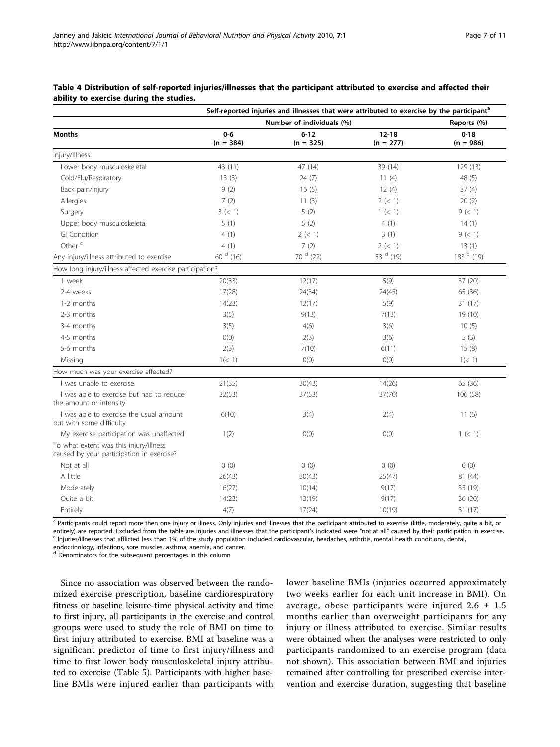|                                                                                     | Self-reported injuries and illnesses that were attributed to exercise by the participant <sup>a</sup> |                         |                          |                         |  |
|-------------------------------------------------------------------------------------|-------------------------------------------------------------------------------------------------------|-------------------------|--------------------------|-------------------------|--|
|                                                                                     | Number of individuals (%)                                                                             |                         |                          |                         |  |
| <b>Months</b>                                                                       | $0-6$<br>$(n = 384)$                                                                                  | $6 - 12$<br>$(n = 325)$ | $12 - 18$<br>$(n = 277)$ | $0 - 18$<br>$(n = 986)$ |  |
| Injury/Illness                                                                      |                                                                                                       |                         |                          |                         |  |
| Lower body musculoskeletal                                                          | 43 (11)                                                                                               | 47 (14)                 | 39 (14)                  | 129 (13)                |  |
| Cold/Flu/Respiratory                                                                | 13(3)                                                                                                 | 24(7)                   | 11(4)                    | 48 (5)                  |  |
| Back pain/injury                                                                    | 9(2)                                                                                                  | 16(5)                   | 12(4)                    | 37(4)                   |  |
| Allergies                                                                           | 7(2)                                                                                                  | 11(3)                   | 2 (< 1)                  | 20(2)                   |  |
| Surgery                                                                             | 3 (< 1)                                                                                               | 5(2)                    | 1 (< 1)                  | 9 (< 1)                 |  |
| Upper body musculoskeletal                                                          | 5(1)                                                                                                  | 5(2)                    | 4(1)                     | 14(1)                   |  |
| <b>GI Condition</b>                                                                 | 4(1)                                                                                                  | 2 (< 1)                 | 3(1)                     | 9 (< 1)                 |  |
| Other <sup>c</sup>                                                                  | 4(1)                                                                                                  | 7(2)                    | 2 (< 1)                  | 13(1)                   |  |
| Any injury/illness attributed to exercise                                           | 60 <sup>d</sup> (16)                                                                                  | 70 <sup>d</sup> (22)    | 53 <sup>d</sup> (19)     | 183 <sup>d</sup> (19)   |  |
| How long injury/illness affected exercise participation?                            |                                                                                                       |                         |                          |                         |  |
| 1 week                                                                              | 20(33)                                                                                                | 12(17)                  | 5(9)                     | 37 (20)                 |  |
| 2-4 weeks                                                                           | 17(28)                                                                                                | 24(34)                  | 24(45)                   | 65 (36)                 |  |
| 1-2 months                                                                          | 14(23)                                                                                                | 12(17)                  | 5(9)                     | 31(17)                  |  |
| 2-3 months                                                                          | 3(5)                                                                                                  | 9(13)                   | 7(13)                    | 19 (10)                 |  |
| 3-4 months                                                                          | 3(5)                                                                                                  | 4(6)                    | 3(6)                     | 10(5)                   |  |
| 4-5 months                                                                          | O(0)                                                                                                  | 2(3)                    | 3(6)                     | 5(3)                    |  |
| 5-6 months                                                                          | 2(3)                                                                                                  | 7(10)                   | 6(11)                    | 15(8)                   |  |
| Missing                                                                             | 1(< 1)                                                                                                | O(0)                    | O(0)                     | 1(< 1)                  |  |
| How much was your exercise affected?                                                |                                                                                                       |                         |                          |                         |  |
| I was unable to exercise                                                            | 21(35)                                                                                                | 30(43)                  | 14(26)                   | 65 (36)                 |  |
| I was able to exercise but had to reduce<br>the amount or intensity                 | 32(53)                                                                                                | 37(53)                  | 37(70)                   | 106 (58)                |  |
| I was able to exercise the usual amount<br>but with some difficulty                 | 6(10)                                                                                                 | 3(4)                    | 2(4)                     | 11(6)                   |  |
| My exercise participation was unaffected                                            | 1(2)                                                                                                  | O(0)                    | O(0)                     | 1 (< 1)                 |  |
| To what extent was this injury/illness<br>caused by your participation in exercise? |                                                                                                       |                         |                          |                         |  |
| Not at all                                                                          | 0(0)                                                                                                  | 0(0)                    | 0(0)                     | 0(0)                    |  |
| A little                                                                            | 26(43)                                                                                                | 30(43)                  | 25(47)                   | 81 (44)                 |  |
| Moderately                                                                          | 16(27)                                                                                                | 10(14)                  | 9(17)                    | 35 (19)                 |  |
| Quite a bit                                                                         | 14(23)                                                                                                | 13(19)                  | 9(17)                    | 36 (20)                 |  |
| Entirely                                                                            | 4(7)                                                                                                  | 17(24)                  | 10(19)                   | 31 (17)                 |  |

## <span id="page-6-0"></span>Table 4 Distribution of self-reported injuries/illnesses that the participant attributed to exercise and affected their ability to exercise during the studies.

a Participants could report more then one injury or illness. Only injuries and illnesses that the participant attributed to exercise (little, moderately, quite a bit, or entirely) are reported. Excluded from the table are injuries and illnesses that the participant's indicated were "not at all" caused by their participation in exercise.<br><sup>c</sup> Injuries/illnesses that afflicted less than 1% of

endocrinology, infections, sore muscles, asthma, anemia, and cancer.

<sup>d</sup> Denominators for the subsequent percentages in this column

Since no association was observed between the randomized exercise prescription, baseline cardiorespiratory fitness or baseline leisure-time physical activity and time to first injury, all participants in the exercise and control groups were used to study the role of BMI on time to first injury attributed to exercise. BMI at baseline was a significant predictor of time to first injury/illness and time to first lower body musculoskeletal injury attributed to exercise (Table [5](#page-7-0)). Participants with higher baseline BMIs were injured earlier than participants with lower baseline BMIs (injuries occurred approximately two weeks earlier for each unit increase in BMI). On average, obese participants were injured  $2.6 \pm 1.5$ months earlier than overweight participants for any injury or illness attributed to exercise. Similar results were obtained when the analyses were restricted to only participants randomized to an exercise program (data not shown). This association between BMI and injuries remained after controlling for prescribed exercise intervention and exercise duration, suggesting that baseline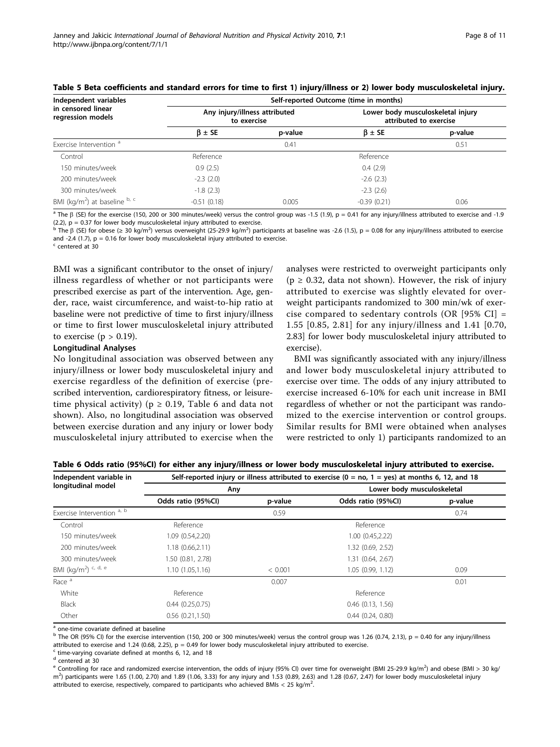| Independent variables<br>in censored linear<br>regression models | Self-reported Outcome (time in months)       |         |                                                             |         |  |
|------------------------------------------------------------------|----------------------------------------------|---------|-------------------------------------------------------------|---------|--|
|                                                                  | Any injury/illness attributed<br>to exercise |         | Lower body musculoskeletal injury<br>attributed to exercise |         |  |
|                                                                  | $\beta \pm SE$                               | p-value | $\beta \pm SE$                                              | p-value |  |
| Exercise Intervention <sup>a</sup>                               |                                              | 0.41    |                                                             | 0.51    |  |
| Control                                                          | Reference                                    |         | Reference                                                   |         |  |
| 150 minutes/week                                                 | 0.9(2.5)                                     |         | 0.4(2.9)                                                    |         |  |
| 200 minutes/week                                                 | $-2.3(2.0)$                                  |         | $-2.6(2.3)$                                                 |         |  |
| 300 minutes/week                                                 | $-1.8(2.3)$                                  |         | $-2.3(2.6)$                                                 |         |  |
| BMI (kg/m <sup>2</sup> ) at baseline $b$ , c                     | $-0.51(0.18)$                                | 0.005   | $-0.39(0.21)$                                               | 0.06    |  |

<span id="page-7-0"></span>

| Table 5 Beta coefficients and standard errors for time to first 1) injury/illness or 2) lower body musculoskeletal injury. |  |  |
|----------------------------------------------------------------------------------------------------------------------------|--|--|
|----------------------------------------------------------------------------------------------------------------------------|--|--|

 $a$  The  $\beta$  (SE) for the exercise (150, 200 or 300 minutes/week) versus the control group was -1.5 (1.9),  $p = 0.41$  for any injury/illness attributed to exercise and -1.9  $(2.2)$ ,  $p = 0.37$  for lower body musculoskeletal injury attributed to exercise.

<sup>b</sup> The  $\beta$  (SE) for obese (≥ 30 kg/m<sup>2</sup>) versus overweight (25-29.9 kg/m<sup>2</sup>) participants at baseline was -2.6 (1.5), p = 0.08 for any injury/illness attributed to exercise and -2.4 (1.7),  $p = 0.16$  for lower body musculoskeletal injury attributed to exercise.

<sup>c</sup> centered at 30

BMI was a significant contributor to the onset of injury/ illness regardless of whether or not participants were prescribed exercise as part of the intervention. Age, gender, race, waist circumference, and waist-to-hip ratio at baseline were not predictive of time to first injury/illness or time to first lower musculoskeletal injury attributed to exercise ( $p > 0.19$ ).

#### Longitudinal Analyses

No longitudinal association was observed between any injury/illness or lower body musculoskeletal injury and exercise regardless of the definition of exercise (prescribed intervention, cardiorespiratory fitness, or leisuretime physical activity) ( $p \ge 0.19$ , Table 6 and data not shown). Also, no longitudinal association was observed between exercise duration and any injury or lower body musculoskeletal injury attributed to exercise when the

analyses were restricted to overweight participants only ( $p \ge 0.32$ , data not shown). However, the risk of injury attributed to exercise was slightly elevated for overweight participants randomized to 300 min/wk of exercise compared to sedentary controls (OR [95% CI]  $=$ 1.55 [0.85, 2.81] for any injury/illness and 1.41 [0.70, 2.83] for lower body musculoskeletal injury attributed to exercise).

BMI was significantly associated with any injury/illness and lower body musculoskeletal injury attributed to exercise over time. The odds of any injury attributed to exercise increased 6-10% for each unit increase in BMI regardless of whether or not the participant was randomized to the exercise intervention or control groups. Similar results for BMI were obtained when analyses were restricted to only 1) participants randomized to an

| Independent variable in                     | Self-reported injury or illness attributed to exercise ( $0 =$ no, $1 =$ yes) at months 6, 12, and 18 |         |                            |         |  |  |
|---------------------------------------------|-------------------------------------------------------------------------------------------------------|---------|----------------------------|---------|--|--|
| longitudinal model                          | Any                                                                                                   |         | Lower body musculoskeletal |         |  |  |
|                                             | Odds ratio (95%CI)                                                                                    | p-value | Odds ratio (95%CI)         | p-value |  |  |
| Exercise Intervention <sup>a, b</sup>       |                                                                                                       | 0.59    |                            | 0.74    |  |  |
| Control                                     | Reference                                                                                             |         | Reference                  |         |  |  |
| 150 minutes/week                            | 1.09 (0.54,2.20)                                                                                      |         | 1.00(0.45, 2.22)           |         |  |  |
| 200 minutes/week                            | 1.18(0.66, 2.11)                                                                                      |         | 1.32 (0.69, 2.52)          |         |  |  |
| 300 minutes/week                            | 1.50 (0.81, 2.78)                                                                                     |         | 1.31 (0.64, 2.67)          |         |  |  |
| BMI (kg/m <sup>2</sup> ) <sup>c, d, e</sup> | 1.10(1.05, 1.16)                                                                                      | < 0.001 | 1.05(0.99, 1.12)           | 0.09    |  |  |
| Race <sup>a</sup>                           |                                                                                                       | 0.007   |                            | 0.01    |  |  |
| White                                       | Reference                                                                                             |         | Reference                  |         |  |  |
| <b>Black</b>                                | 0.44(0.25,0.75)                                                                                       |         | $0.46$ (0.13, 1.56)        |         |  |  |
| Other                                       | 0.56(0.21, 1.50)                                                                                      |         | 0.44(0.24, 0.80)           |         |  |  |

| Table 6 Odds ratio (95%CI) for either any injury/illness or lower body musculoskeletal injury attributed to exercise. |  |
|-----------------------------------------------------------------------------------------------------------------------|--|
|-----------------------------------------------------------------------------------------------------------------------|--|

<sup>a</sup> one-time covariate defined at baseline

b The OR (95% CI) for the exercise intervention (150, 200 or 300 minutes/week) versus the control group was 1.26 (0.74, 2.13), p = 0.40 for any injury/illness attributed to exercise and 1.24 (0.68, 2.25),  $p = 0.49$  for lower body musculoskeletal injury attributed to exercise.

 $\frac{1}{2}$  time-varying covariate defined at months 6, 12, and 18

<sup>d</sup> centered at 30

 $^{\rm e}$  Controlling for race and randomized exercise intervention, the odds of injury (95% CI) over time for overweight (BMI 25-29.9 kg/m<sup>2</sup>) and obese (BMI > 30 kg/  $m<sup>2</sup>$ ) participants were 1.65 (1.00, 2.70) and 1.89 (1.06, 3.33) for any injury and 1.53 (0.89, 2.63) and 1.28 (0.67, 2.47) for lower body musculoskeletal injury attributed to exercise, respectively, compared to participants who achieved BMIs < 25 kg/m<sup>2</sup>. .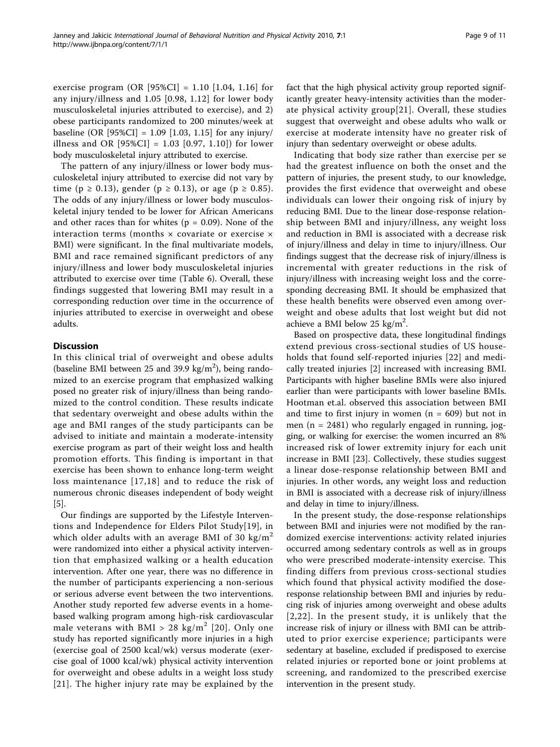exercise program (OR [95%CI] = 1.10 [1.04, 1.16] for any injury/illness and 1.05 [0.98, 1.12] for lower body musculoskeletal injuries attributed to exercise), and 2) obese participants randomized to 200 minutes/week at baseline (OR [95%CI] = 1.09 [1.03, 1.15] for any injury/ illness and OR [95%CI] = 1.03 [0.97, 1.10]) for lower body musculoskeletal injury attributed to exercise.

The pattern of any injury/illness or lower body musculoskeletal injury attributed to exercise did not vary by time (p ≥ 0.13), gender (p ≥ 0.13), or age (p ≥ 0.85). The odds of any injury/illness or lower body musculoskeletal injury tended to be lower for African Americans and other races than for whites ( $p = 0.09$ ). None of the interaction terms (months  $\times$  covariate or exercise  $\times$ BMI) were significant. In the final multivariate models, BMI and race remained significant predictors of any injury/illness and lower body musculoskeletal injuries attributed to exercise over time (Table [6](#page-7-0)). Overall, these findings suggested that lowering BMI may result in a corresponding reduction over time in the occurrence of injuries attributed to exercise in overweight and obese adults.

# **Discussion**

In this clinical trial of overweight and obese adults (baseline BMI between 25 and 39.9  $\text{kg/m}^2$ ), being randomized to an exercise program that emphasized walking posed no greater risk of injury/illness than being randomized to the control condition. These results indicate that sedentary overweight and obese adults within the age and BMI ranges of the study participants can be advised to initiate and maintain a moderate-intensity exercise program as part of their weight loss and health promotion efforts. This finding is important in that exercise has been shown to enhance long-term weight loss maintenance [[17,18\]](#page-10-0) and to reduce the risk of numerous chronic diseases independent of body weight [[5\]](#page-10-0).

Our findings are supported by the Lifestyle Interventions and Independence for Elders Pilot Study[[19\]](#page-10-0), in which older adults with an average BMI of 30 kg/ $m<sup>2</sup>$ were randomized into either a physical activity intervention that emphasized walking or a health education intervention. After one year, there was no difference in the number of participants experiencing a non-serious or serious adverse event between the two interventions. Another study reported few adverse events in a homebased walking program among high-risk cardiovascular male veterans with BMI > 28 kg/m<sup>2</sup> [[20](#page-10-0)]. Only one study has reported significantly more injuries in a high (exercise goal of 2500 kcal/wk) versus moderate (exercise goal of 1000 kcal/wk) physical activity intervention for overweight and obese adults in a weight loss study [[21\]](#page-10-0). The higher injury rate may be explained by the fact that the high physical activity group reported significantly greater heavy-intensity activities than the moderate physical activity group[[21\]](#page-10-0). Overall, these studies suggest that overweight and obese adults who walk or exercise at moderate intensity have no greater risk of injury than sedentary overweight or obese adults.

Indicating that body size rather than exercise per se had the greatest influence on both the onset and the pattern of injuries, the present study, to our knowledge, provides the first evidence that overweight and obese individuals can lower their ongoing risk of injury by reducing BMI. Due to the linear dose-response relationship between BMI and injury/illness, any weight loss and reduction in BMI is associated with a decrease risk of injury/illness and delay in time to injury/illness. Our findings suggest that the decrease risk of injury/illness is incremental with greater reductions in the risk of injury/illness with increasing weight loss and the corresponding decreasing BMI. It should be emphasized that these health benefits were observed even among overweight and obese adults that lost weight but did not achieve a BMI below 25 kg/m<sup>2</sup>.

Based on prospective data, these longitudinal findings extend previous cross-sectional studies of US households that found self-reported injuries [\[22\]](#page-10-0) and medically treated injuries [[2\]](#page-10-0) increased with increasing BMI. Participants with higher baseline BMIs were also injured earlier than were participants with lower baseline BMIs. Hootman et.al. observed this association between BMI and time to first injury in women ( $n = 609$ ) but not in men ( $n = 2481$ ) who regularly engaged in running, jogging, or walking for exercise: the women incurred an 8% increased risk of lower extremity injury for each unit increase in BMI [\[23](#page-10-0)]. Collectively, these studies suggest a linear dose-response relationship between BMI and injuries. In other words, any weight loss and reduction in BMI is associated with a decrease risk of injury/illness and delay in time to injury/illness.

In the present study, the dose-response relationships between BMI and injuries were not modified by the randomized exercise interventions: activity related injuries occurred among sedentary controls as well as in groups who were prescribed moderate-intensity exercise. This finding differs from previous cross-sectional studies which found that physical activity modified the doseresponse relationship between BMI and injuries by reducing risk of injuries among overweight and obese adults [[2,22](#page-10-0)]. In the present study, it is unlikely that the increase risk of injury or illness with BMI can be attributed to prior exercise experience; participants were sedentary at baseline, excluded if predisposed to exercise related injuries or reported bone or joint problems at screening, and randomized to the prescribed exercise intervention in the present study.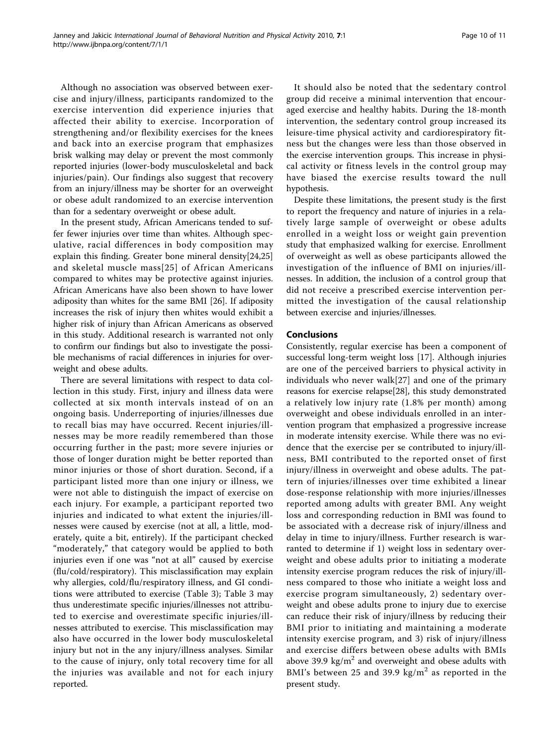Although no association was observed between exercise and injury/illness, participants randomized to the exercise intervention did experience injuries that affected their ability to exercise. Incorporation of strengthening and/or flexibility exercises for the knees and back into an exercise program that emphasizes brisk walking may delay or prevent the most commonly reported injuries (lower-body musculoskeletal and back injuries/pain). Our findings also suggest that recovery from an injury/illness may be shorter for an overweight or obese adult randomized to an exercise intervention

than for a sedentary overweight or obese adult.

In the present study, African Americans tended to suffer fewer injuries over time than whites. Although speculative, racial differences in body composition may explain this finding. Greater bone mineral density[[24](#page-10-0),[25](#page-10-0)] and skeletal muscle mass[[25\]](#page-10-0) of African Americans compared to whites may be protective against injuries. African Americans have also been shown to have lower adiposity than whites for the same BMI [[26](#page-10-0)]. If adiposity increases the risk of injury then whites would exhibit a higher risk of injury than African Americans as observed in this study. Additional research is warranted not only to confirm our findings but also to investigate the possible mechanisms of racial differences in injuries for overweight and obese adults.

There are several limitations with respect to data collection in this study. First, injury and illness data were collected at six month intervals instead of on an ongoing basis. Underreporting of injuries/illnesses due to recall bias may have occurred. Recent injuries/illnesses may be more readily remembered than those occurring further in the past; more severe injuries or those of longer duration might be better reported than minor injuries or those of short duration. Second, if a participant listed more than one injury or illness, we were not able to distinguish the impact of exercise on each injury. For example, a participant reported two injuries and indicated to what extent the injuries/illnesses were caused by exercise (not at all, a little, moderately, quite a bit, entirely). If the participant checked "moderately," that category would be applied to both injuries even if one was "not at all" caused by exercise (flu/cold/respiratory). This misclassification may explain why allergies, cold/flu/respiratory illness, and GI conditions were attributed to exercise (Table [3\)](#page-5-0); Table [3](#page-5-0) may thus underestimate specific injuries/illnesses not attributed to exercise and overestimate specific injuries/illnesses attributed to exercise. This misclassification may also have occurred in the lower body musculoskeletal injury but not in the any injury/illness analyses. Similar to the cause of injury, only total recovery time for all the injuries was available and not for each injury reported.

It should also be noted that the sedentary control group did receive a minimal intervention that encouraged exercise and healthy habits. During the 18-month intervention, the sedentary control group increased its leisure-time physical activity and cardiorespiratory fitness but the changes were less than those observed in the exercise intervention groups. This increase in physical activity or fitness levels in the control group may have biased the exercise results toward the null hypothesis.

Despite these limitations, the present study is the first to report the frequency and nature of injuries in a relatively large sample of overweight or obese adults enrolled in a weight loss or weight gain prevention study that emphasized walking for exercise. Enrollment of overweight as well as obese participants allowed the investigation of the influence of BMI on injuries/illnesses. In addition, the inclusion of a control group that did not receive a prescribed exercise intervention permitted the investigation of the causal relationship between exercise and injuries/illnesses.

# Conclusions

Consistently, regular exercise has been a component of successful long-term weight loss [[17\]](#page-10-0). Although injuries are one of the perceived barriers to physical activity in individuals who never walk[\[27](#page-10-0)] and one of the primary reasons for exercise relapse[[28\]](#page-10-0), this study demonstrated a relatively low injury rate (1.8% per month) among overweight and obese individuals enrolled in an intervention program that emphasized a progressive increase in moderate intensity exercise. While there was no evidence that the exercise per se contributed to injury/illness, BMI contributed to the reported onset of first injury/illness in overweight and obese adults. The pattern of injuries/illnesses over time exhibited a linear dose-response relationship with more injuries/illnesses reported among adults with greater BMI. Any weight loss and corresponding reduction in BMI was found to be associated with a decrease risk of injury/illness and delay in time to injury/illness. Further research is warranted to determine if 1) weight loss in sedentary overweight and obese adults prior to initiating a moderate intensity exercise program reduces the risk of injury/illness compared to those who initiate a weight loss and exercise program simultaneously, 2) sedentary overweight and obese adults prone to injury due to exercise can reduce their risk of injury/illness by reducing their BMI prior to initiating and maintaining a moderate intensity exercise program, and 3) risk of injury/illness and exercise differs between obese adults with BMIs above 39.9 kg/ $m^2$  and overweight and obese adults with BMI's between 25 and 39.9 kg/ $m^2$  as reported in the present study.